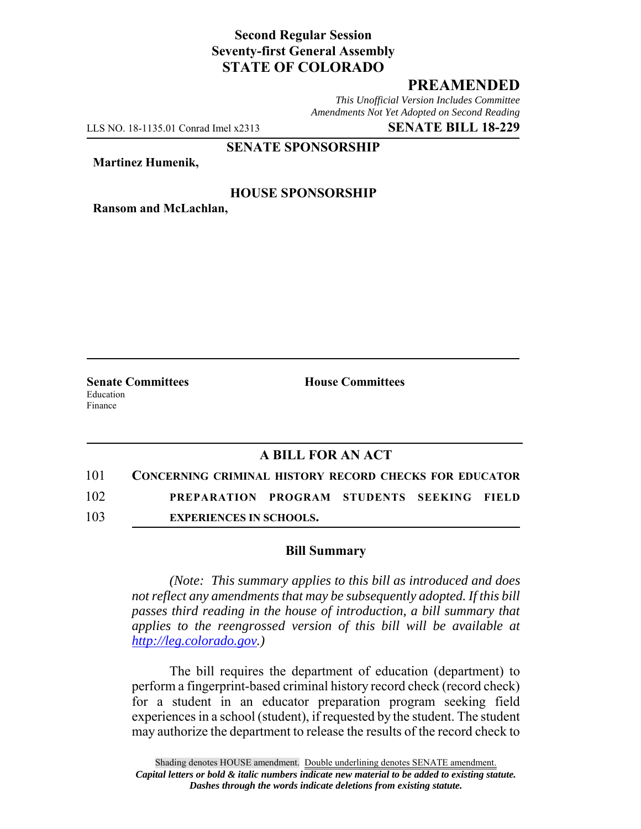# **Second Regular Session Seventy-first General Assembly STATE OF COLORADO**

## **PREAMENDED**

*This Unofficial Version Includes Committee Amendments Not Yet Adopted on Second Reading*

LLS NO. 18-1135.01 Conrad Imel x2313 **SENATE BILL 18-229**

#### **SENATE SPONSORSHIP**

**Martinez Humenik,**

### **HOUSE SPONSORSHIP**

**Ransom and McLachlan,**

Education Finance

**Senate Committees House Committees** 

### **A BILL FOR AN ACT**

- 101 **CONCERNING CRIMINAL HISTORY RECORD CHECKS FOR EDUCATOR** 102 **PREPARATION PROGRAM STUDENTS SEEKING FIELD**
- 103 **EXPERIENCES IN SCHOOLS.**

#### **Bill Summary**

*(Note: This summary applies to this bill as introduced and does not reflect any amendments that may be subsequently adopted. If this bill passes third reading in the house of introduction, a bill summary that applies to the reengrossed version of this bill will be available at http://leg.colorado.gov.)*

The bill requires the department of education (department) to perform a fingerprint-based criminal history record check (record check) for a student in an educator preparation program seeking field experiences in a school (student), if requested by the student. The student may authorize the department to release the results of the record check to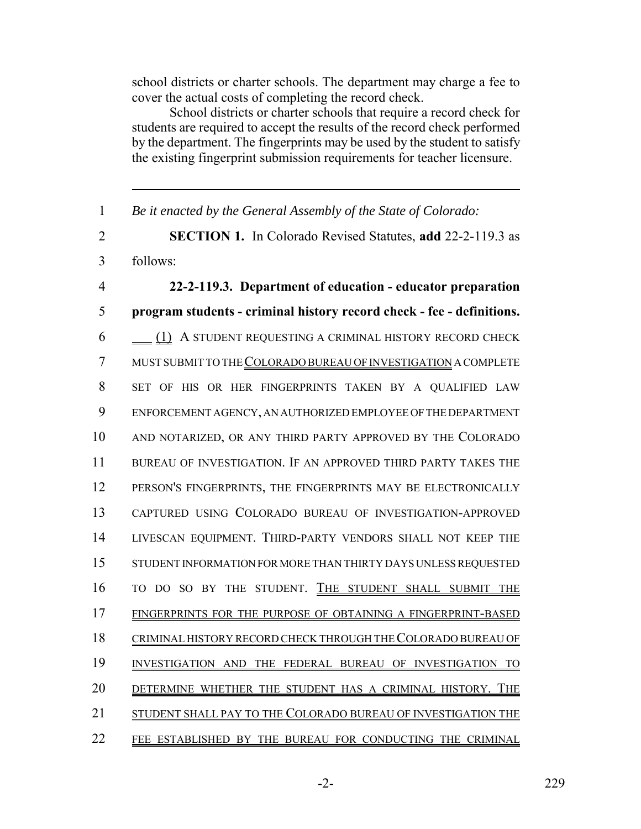school districts or charter schools. The department may charge a fee to cover the actual costs of completing the record check.

School districts or charter schools that require a record check for students are required to accept the results of the record check performed by the department. The fingerprints may be used by the student to satisfy the existing fingerprint submission requirements for teacher licensure.

 *Be it enacted by the General Assembly of the State of Colorado:* **SECTION 1.** In Colorado Revised Statutes, **add** 22-2-119.3 as follows: **22-2-119.3. Department of education - educator preparation program students - criminal history record check - fee - definitions.** 6 (1) A STUDENT REQUESTING A CRIMINAL HISTORY RECORD CHECK MUST SUBMIT TO THE COLORADO BUREAU OF INVESTIGATION A COMPLETE SET OF HIS OR HER FINGERPRINTS TAKEN BY A QUALIFIED LAW ENFORCEMENT AGENCY, AN AUTHORIZED EMPLOYEE OF THE DEPARTMENT AND NOTARIZED, OR ANY THIRD PARTY APPROVED BY THE COLORADO BUREAU OF INVESTIGATION. IF AN APPROVED THIRD PARTY TAKES THE PERSON'S FINGERPRINTS, THE FINGERPRINTS MAY BE ELECTRONICALLY CAPTURED USING COLORADO BUREAU OF INVESTIGATION-APPROVED LIVESCAN EQUIPMENT. THIRD-PARTY VENDORS SHALL NOT KEEP THE STUDENT INFORMATION FOR MORE THAN THIRTY DAYS UNLESS REQUESTED TO DO SO BY THE STUDENT. THE STUDENT SHALL SUBMIT THE FINGERPRINTS FOR THE PURPOSE OF OBTAINING A FINGERPRINT-BASED CRIMINAL HISTORY RECORD CHECK THROUGH THE COLORADO BUREAU OF INVESTIGATION AND THE FEDERAL BUREAU OF INVESTIGATION TO DETERMINE WHETHER THE STUDENT HAS A CRIMINAL HISTORY. THE 21 STUDENT SHALL PAY TO THE COLORADO BUREAU OF INVESTIGATION THE FEE ESTABLISHED BY THE BUREAU FOR CONDUCTING THE CRIMINAL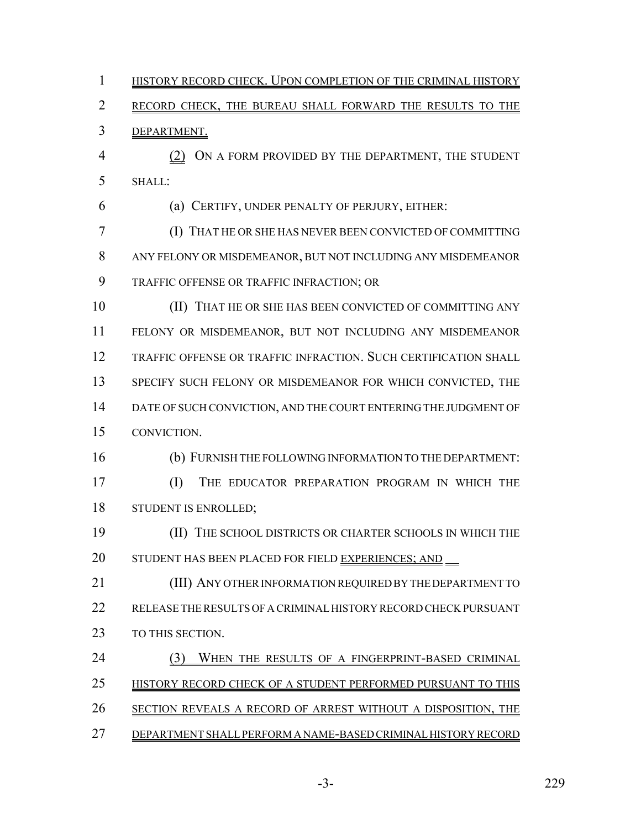1 HISTORY RECORD CHECK. UPON COMPLETION OF THE CRIMINAL HISTORY RECORD CHECK, THE BUREAU SHALL FORWARD THE RESULTS TO THE DEPARTMENT. (2) ON A FORM PROVIDED BY THE DEPARTMENT, THE STUDENT SHALL: (a) CERTIFY, UNDER PENALTY OF PERJURY, EITHER: (I) THAT HE OR SHE HAS NEVER BEEN CONVICTED OF COMMITTING ANY FELONY OR MISDEMEANOR, BUT NOT INCLUDING ANY MISDEMEANOR TRAFFIC OFFENSE OR TRAFFIC INFRACTION; OR (II) THAT HE OR SHE HAS BEEN CONVICTED OF COMMITTING ANY FELONY OR MISDEMEANOR, BUT NOT INCLUDING ANY MISDEMEANOR TRAFFIC OFFENSE OR TRAFFIC INFRACTION. SUCH CERTIFICATION SHALL 13 SPECIFY SUCH FELONY OR MISDEMEANOR FOR WHICH CONVICTED, THE DATE OF SUCH CONVICTION, AND THE COURT ENTERING THE JUDGMENT OF CONVICTION. (b) FURNISH THE FOLLOWING INFORMATION TO THE DEPARTMENT: (I) THE EDUCATOR PREPARATION PROGRAM IN WHICH THE STUDENT IS ENROLLED; (II) THE SCHOOL DISTRICTS OR CHARTER SCHOOLS IN WHICH THE 20 STUDENT HAS BEEN PLACED FOR FIELD EXPERIENCES; AND (III) ANY OTHER INFORMATION REQUIRED BY THE DEPARTMENT TO RELEASE THE RESULTS OF A CRIMINAL HISTORY RECORD CHECK PURSUANT 23 TO THIS SECTION. 24 (3) WHEN THE RESULTS OF A FINGERPRINT-BASED CRIMINAL 25 HISTORY RECORD CHECK OF A STUDENT PERFORMED PURSUANT TO THIS SECTION REVEALS A RECORD OF ARREST WITHOUT A DISPOSITION, THE DEPARTMENT SHALL PERFORM A NAME-BASED CRIMINAL HISTORY RECORD

-3- 229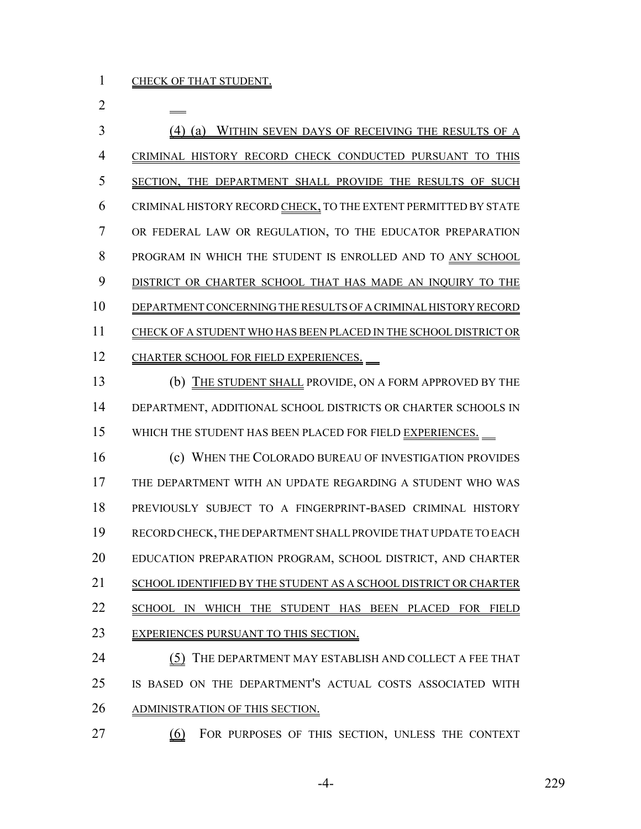(4) (a) WITHIN SEVEN DAYS OF RECEIVING THE RESULTS OF A CRIMINAL HISTORY RECORD CHECK CONDUCTED PURSUANT TO THIS SECTION, THE DEPARTMENT SHALL PROVIDE THE RESULTS OF SUCH CRIMINAL HISTORY RECORD CHECK, TO THE EXTENT PERMITTED BY STATE OR FEDERAL LAW OR REGULATION, TO THE EDUCATOR PREPARATION PROGRAM IN WHICH THE STUDENT IS ENROLLED AND TO ANY SCHOOL 9 DISTRICT OR CHARTER SCHOOL THAT HAS MADE AN INQUIRY TO THE DEPARTMENT CONCERNING THE RESULTS OF A CRIMINAL HISTORY RECORD CHECK OF A STUDENT WHO HAS BEEN PLACED IN THE SCHOOL DISTRICT OR 12 CHARTER SCHOOL FOR FIELD EXPERIENCES.

 (b) THE STUDENT SHALL PROVIDE, ON A FORM APPROVED BY THE DEPARTMENT, ADDITIONAL SCHOOL DISTRICTS OR CHARTER SCHOOLS IN WHICH THE STUDENT HAS BEEN PLACED FOR FIELD EXPERIENCES.

 (c) WHEN THE COLORADO BUREAU OF INVESTIGATION PROVIDES THE DEPARTMENT WITH AN UPDATE REGARDING A STUDENT WHO WAS PREVIOUSLY SUBJECT TO A FINGERPRINT-BASED CRIMINAL HISTORY RECORD CHECK, THE DEPARTMENT SHALL PROVIDE THAT UPDATE TO EACH EDUCATION PREPARATION PROGRAM, SCHOOL DISTRICT, AND CHARTER SCHOOL IDENTIFIED BY THE STUDENT AS A SCHOOL DISTRICT OR CHARTER 22 SCHOOL IN WHICH THE STUDENT HAS BEEN PLACED FOR FIELD EXPERIENCES PURSUANT TO THIS SECTION.

24 (5) THE DEPARTMENT MAY ESTABLISH AND COLLECT A FEE THAT IS BASED ON THE DEPARTMENT'S ACTUAL COSTS ASSOCIATED WITH ADMINISTRATION OF THIS SECTION.

(6) FOR PURPOSES OF THIS SECTION, UNLESS THE CONTEXT

-4- 229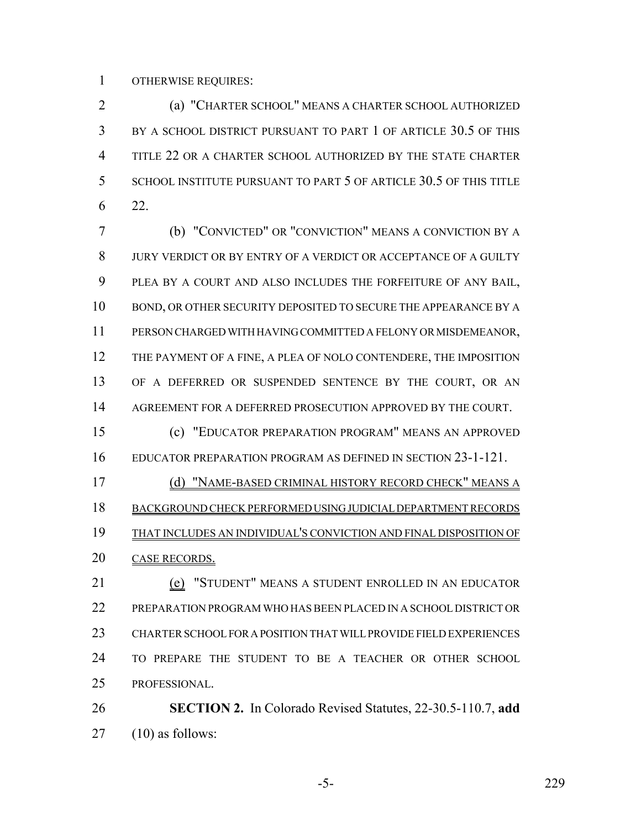OTHERWISE REQUIRES:

 (a) "CHARTER SCHOOL" MEANS A CHARTER SCHOOL AUTHORIZED BY A SCHOOL DISTRICT PURSUANT TO PART 1 OF ARTICLE 30.5 OF THIS TITLE 22 OR A CHARTER SCHOOL AUTHORIZED BY THE STATE CHARTER SCHOOL INSTITUTE PURSUANT TO PART 5 OF ARTICLE 30.5 OF THIS TITLE 22.

 (b) "CONVICTED" OR "CONVICTION" MEANS A CONVICTION BY A JURY VERDICT OR BY ENTRY OF A VERDICT OR ACCEPTANCE OF A GUILTY PLEA BY A COURT AND ALSO INCLUDES THE FORFEITURE OF ANY BAIL, BOND, OR OTHER SECURITY DEPOSITED TO SECURE THE APPEARANCE BY A PERSON CHARGED WITH HAVING COMMITTED A FELONY OR MISDEMEANOR, THE PAYMENT OF A FINE, A PLEA OF NOLO CONTENDERE, THE IMPOSITION OF A DEFERRED OR SUSPENDED SENTENCE BY THE COURT, OR AN 14 AGREEMENT FOR A DEFERRED PROSECUTION APPROVED BY THE COURT.

 (c) "EDUCATOR PREPARATION PROGRAM" MEANS AN APPROVED EDUCATOR PREPARATION PROGRAM AS DEFINED IN SECTION 23-1-121.

 (d) "NAME-BASED CRIMINAL HISTORY RECORD CHECK" MEANS A BACKGROUND CHECK PERFORMED USING JUDICIAL DEPARTMENT RECORDS THAT INCLUDES AN INDIVIDUAL'S CONVICTION AND FINAL DISPOSITION OF CASE RECORDS.

 (e) "STUDENT" MEANS A STUDENT ENROLLED IN AN EDUCATOR PREPARATION PROGRAM WHO HAS BEEN PLACED IN A SCHOOL DISTRICT OR CHARTER SCHOOL FOR A POSITION THAT WILL PROVIDE FIELD EXPERIENCES TO PREPARE THE STUDENT TO BE A TEACHER OR OTHER SCHOOL PROFESSIONAL.

 **SECTION 2.** In Colorado Revised Statutes, 22-30.5-110.7, **add** (10) as follows:

-5- 229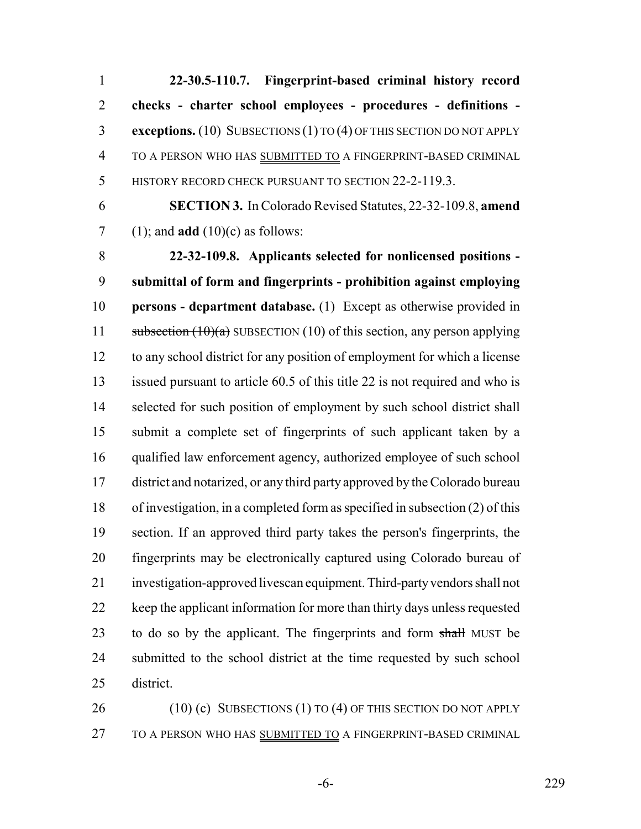**22-30.5-110.7. Fingerprint-based criminal history record checks - charter school employees - procedures - definitions - exceptions.** (10) SUBSECTIONS (1) TO (4) OF THIS SECTION DO NOT APPLY TO A PERSON WHO HAS SUBMITTED TO A FINGERPRINT-BASED CRIMINAL 5 HISTORY RECORD CHECK PURSUANT TO SECTION 22-2-119.3.

 **SECTION 3.** In Colorado Revised Statutes, 22-32-109.8, **amend** (1); and **add** (10)(c) as follows:

 **22-32-109.8. Applicants selected for nonlicensed positions - submittal of form and fingerprints - prohibition against employing persons - department database.** (1) Except as otherwise provided in 11 subsection  $(10)(a)$  SUBSECTION (10) of this section, any person applying to any school district for any position of employment for which a license issued pursuant to article 60.5 of this title 22 is not required and who is 14 selected for such position of employment by such school district shall submit a complete set of fingerprints of such applicant taken by a qualified law enforcement agency, authorized employee of such school district and notarized, or any third party approved by the Colorado bureau of investigation, in a completed form as specified in subsection (2) of this section. If an approved third party takes the person's fingerprints, the fingerprints may be electronically captured using Colorado bureau of investigation-approved livescan equipment. Third-party vendors shall not keep the applicant information for more than thirty days unless requested 23 to do so by the applicant. The fingerprints and form shall MUST be submitted to the school district at the time requested by such school district.

26 (10) (c) SUBSECTIONS (1) TO (4) OF THIS SECTION DO NOT APPLY TO A PERSON WHO HAS SUBMITTED TO A FINGERPRINT-BASED CRIMINAL

-6- 229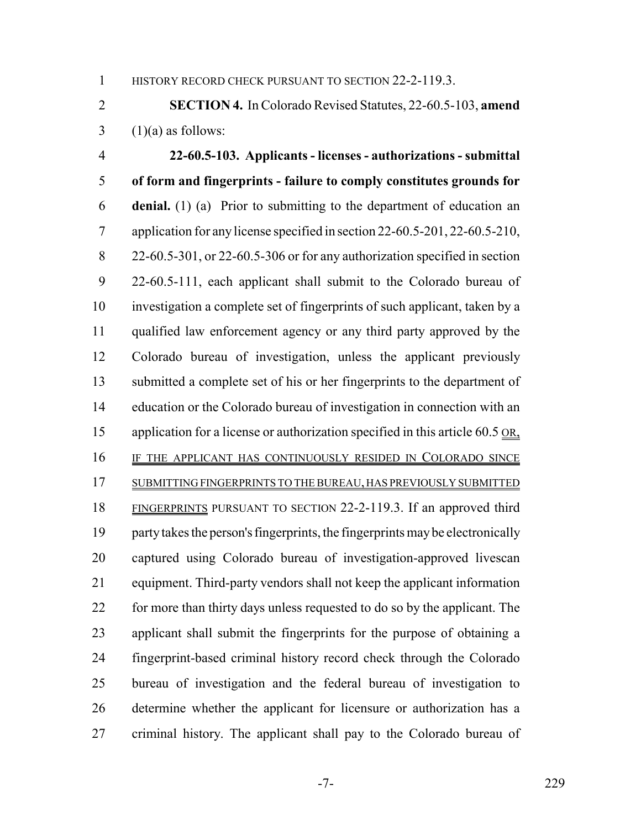1 HISTORY RECORD CHECK PURSUANT TO SECTION 22-2-119.3.

 **SECTION 4.** In Colorado Revised Statutes, 22-60.5-103, **amend**  $3 \quad (1)(a)$  as follows:

 **22-60.5-103. Applicants - licenses - authorizations - submittal of form and fingerprints - failure to comply constitutes grounds for denial.** (1) (a) Prior to submitting to the department of education an application for any license specified in section 22-60.5-201, 22-60.5-210, 22-60.5-301, or 22-60.5-306 or for any authorization specified in section 22-60.5-111, each applicant shall submit to the Colorado bureau of investigation a complete set of fingerprints of such applicant, taken by a qualified law enforcement agency or any third party approved by the Colorado bureau of investigation, unless the applicant previously submitted a complete set of his or her fingerprints to the department of education or the Colorado bureau of investigation in connection with an 15 application for a license or authorization specified in this article 60.5 OR, IF THE APPLICANT HAS CONTINUOUSLY RESIDED IN COLORADO SINCE SUBMITTING FINGERPRINTS TO THE BUREAU, HAS PREVIOUSLY SUBMITTED FINGERPRINTS PURSUANT TO SECTION 22-2-119.3. If an approved third party takes the person's fingerprints, the fingerprints may be electronically captured using Colorado bureau of investigation-approved livescan equipment. Third-party vendors shall not keep the applicant information 22 for more than thirty days unless requested to do so by the applicant. The applicant shall submit the fingerprints for the purpose of obtaining a fingerprint-based criminal history record check through the Colorado bureau of investigation and the federal bureau of investigation to determine whether the applicant for licensure or authorization has a criminal history. The applicant shall pay to the Colorado bureau of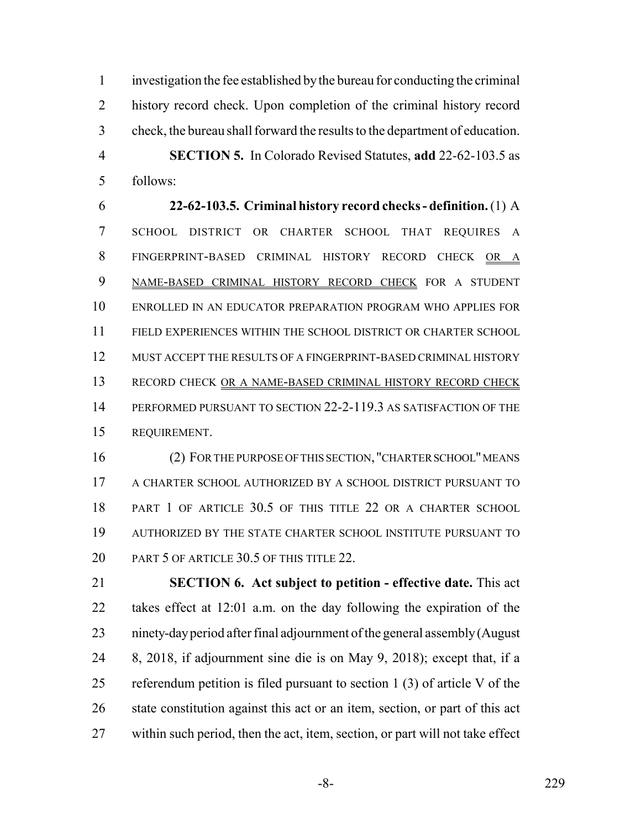investigation the fee established by the bureau for conducting the criminal history record check. Upon completion of the criminal history record check, the bureau shall forward the results to the department of education. **SECTION 5.** In Colorado Revised Statutes, **add** 22-62-103.5 as follows:

 **22-62-103.5. Criminal history record checks - definition.** (1) A SCHOOL DISTRICT OR CHARTER SCHOOL THAT REQUIRES A FINGERPRINT-BASED CRIMINAL HISTORY RECORD CHECK OR A NAME-BASED CRIMINAL HISTORY RECORD CHECK FOR A STUDENT ENROLLED IN AN EDUCATOR PREPARATION PROGRAM WHO APPLIES FOR FIELD EXPERIENCES WITHIN THE SCHOOL DISTRICT OR CHARTER SCHOOL MUST ACCEPT THE RESULTS OF A FINGERPRINT-BASED CRIMINAL HISTORY 13 RECORD CHECK OR A NAME-BASED CRIMINAL HISTORY RECORD CHECK PERFORMED PURSUANT TO SECTION 22-2-119.3 AS SATISFACTION OF THE REQUIREMENT.

 (2) FOR THE PURPOSE OF THIS SECTION, "CHARTER SCHOOL" MEANS A CHARTER SCHOOL AUTHORIZED BY A SCHOOL DISTRICT PURSUANT TO 18 PART 1 OF ARTICLE 30.5 OF THIS TITLE 22 OR A CHARTER SCHOOL AUTHORIZED BY THE STATE CHARTER SCHOOL INSTITUTE PURSUANT TO 20 PART 5 OF ARTICLE 30.5 OF THIS TITLE 22.

 **SECTION 6. Act subject to petition - effective date.** This act takes effect at 12:01 a.m. on the day following the expiration of the ninety-day period after final adjournment of the general assembly (August 8, 2018, if adjournment sine die is on May 9, 2018); except that, if a referendum petition is filed pursuant to section 1 (3) of article V of the state constitution against this act or an item, section, or part of this act within such period, then the act, item, section, or part will not take effect